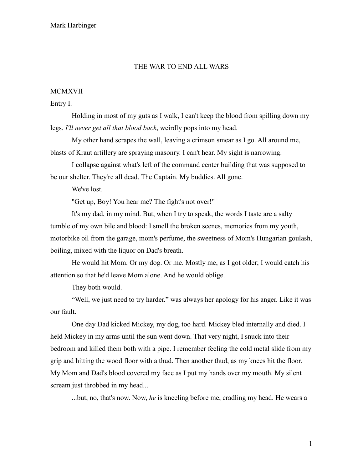## THE WAR TO END ALL WARS

## MCMXVII

Entry I.

Holding in most of my guts as I walk, I can't keep the blood from spilling down my legs. *I'll never get all that blood back*, weirdly pops into my head.

My other hand scrapes the wall, leaving a crimson smear as I go. All around me, blasts of Kraut artillery are spraying masonry. I can't hear. My sight is narrowing.

I collapse against what's left of the command center building that was supposed to be our shelter. They're all dead. The Captain. My buddies. All gone.

We've lost.

"Get up, Boy! You hear me? The fight's not over!"

It's my dad, in my mind. But, when I try to speak, the words I taste are a salty tumble of my own bile and blood: I smell the broken scenes, memories from my youth, motorbike oil from the garage, mom's perfume, the sweetness of Mom's Hungarian goulash, boiling, mixed with the liquor on Dad's breath.

He would hit Mom. Or my dog. Or me. Mostly me, as I got older; I would catch his attention so that he'd leave Mom alone. And he would oblige.

They both would.

"Well, we just need to try harder." was always her apology for his anger. Like it was our fault.

One day Dad kicked Mickey, my dog, too hard. Mickey bled internally and died. I held Mickey in my arms until the sun went down. That very night, I snuck into their bedroom and killed them both with a pipe. I remember feeling the cold metal slide from my grip and hitting the wood floor with a thud. Then another thud, as my knees hit the floor. My Mom and Dad's blood covered my face as I put my hands over my mouth. My silent scream just throbbed in my head...

...but, no, that's now. Now, *he* is kneeling before me, cradling my head. He wears a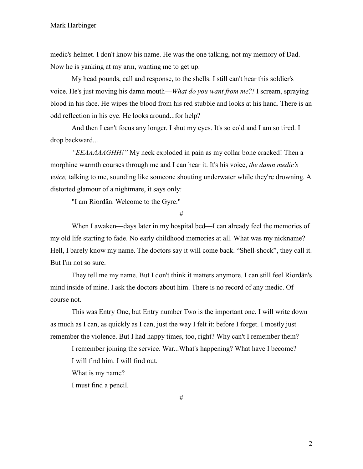medic's helmet. I don't know his name. He was the one talking, not my memory of Dad. Now he is yanking at my arm, wanting me to get up.

My head pounds, call and response, to the shells. I still can't hear this soldier's voice. He's just moving his damn mouth—*What do you want from me?!* I scream, spraying blood in his face. He wipes the blood from his red stubble and looks at his hand. There is an odd reflection in his eye. He looks around...for help?

And then I can't focus any longer. I shut my eyes. It's so cold and I am so tired. I drop backward...

*"EEAAAAAGHH!"* My neck exploded in pain as my collar bone cracked! Then a morphine warmth courses through me and I can hear it. It's his voice, *the damn medic's voice,* talking to me, sounding like someone shouting underwater while they're drowning. A distorted glamour of a nightmare, it says only:

"I am Riordän. Welcome to the Gyre."

#

When I awaken—days later in my hospital bed—I can already feel the memories of my old life starting to fade. No early childhood memories at all. What was my nickname? Hell, I barely know my name. The doctors say it will come back. "Shell-shock", they call it. But I'm not so sure.

They tell me my name. But I don't think it matters anymore. I can still feel Riordän's mind inside of mine. I ask the doctors about him. There is no record of any medic. Of course not.

This was Entry One, but Entry number Two is the important one. I will write down as much as I can, as quickly as I can, just the way I felt it: before I forget. I mostly just remember the violence. But I had happy times, too, right? Why can't I remember them?

I remember joining the service. War...What's happening? What have I become? I will find him. I will find out.

What is my name?

I must find a pencil.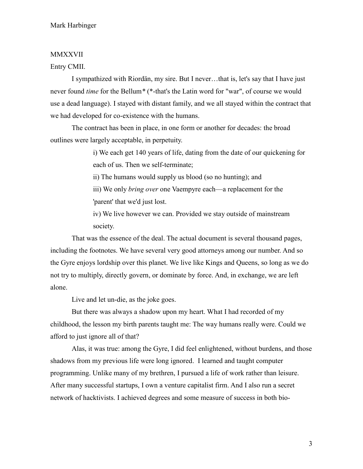## MMXXVII

Entry CMII.

I sympathized with Riordän, my sire. But I never…that is, let's say that I have just never found *time* for the Bellum*\** (\*-that's the Latin word for "war", of course we would use a dead language). I stayed with distant family, and we all stayed within the contract that we had developed for co-existence with the humans.

The contract has been in place, in one form or another for decades: the broad outlines were largely acceptable, in perpetuity.

> i) We each get 140 years of life, dating from the date of our quickening for each of us. Then we self-terminate;

ii) The humans would supply us blood (so no hunting); and

iii) We only *bring over* one Vaempyre each—a replacement for the 'parent' that we'd just lost.

iv) We live however we can. Provided we stay outside of mainstream society.

That was the essence of the deal. The actual document is several thousand pages, including the footnotes. We have several very good attorneys among our number. And so the Gyre enjoys lordship over this planet. We live like Kings and Queens, so long as we do not try to multiply, directly govern, or dominate by force. And, in exchange, we are left alone.

Live and let un-die, as the joke goes.

But there was always a shadow upon my heart. What I had recorded of my childhood, the lesson my birth parents taught me: The way humans really were. Could we afford to just ignore all of that?

Alas, it was true: among the Gyre, I did feel enlightened, without burdens, and those shadows from my previous life were long ignored. I learned and taught computer programming. Unlike many of my brethren, I pursued a life of work rather than leisure. After many successful startups, I own a venture capitalist firm. And I also run a secret network of hacktivists. I achieved degrees and some measure of success in both bio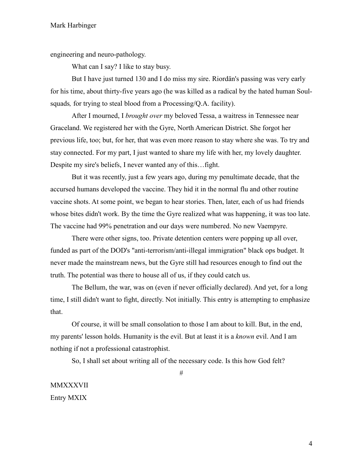engineering and neuro-pathology.

What can I say? I like to stay busy.

But I have just turned 130 and I do miss my sire. Riordän's passing was very early for his time, about thirty-five years ago (he was killed as a radical by the hated human Soulsquads*,* for trying to steal blood from a Processing/Q.A. facility).

After I mourned, I *brought over* my beloved Tessa, a waitress in Tennessee near Graceland. We registered her with the Gyre, North American District. She forgot her previous life, too; but, for her, that was even more reason to stay where she was. To try and stay connected. For my part, I just wanted to share my life with her, my lovely daughter. Despite my sire's beliefs, I never wanted any of this…fight.

But it was recently, just a few years ago, during my penultimate decade, that the accursed humans developed the vaccine. They hid it in the normal flu and other routine vaccine shots. At some point, we began to hear stories. Then, later, each of us had friends whose bites didn't work. By the time the Gyre realized what was happening, it was too late. The vaccine had 99% penetration and our days were numbered. No new Vaempyre.

There were other signs, too. Private detention centers were popping up all over, funded as part of the DOD's "anti-terrorism/anti-illegal immigration" black ops budget. It never made the mainstream news, but the Gyre still had resources enough to find out the truth. The potential was there to house all of us, if they could catch us.

The Bellum, the war, was on (even if never officially declared). And yet, for a long time, I still didn't want to fight, directly. Not initially. This entry is attempting to emphasize that.

Of course, it will be small consolation to those I am about to kill. But, in the end, my parents' lesson holds. Humanity is the evil. But at least it is a *known* evil. And I am nothing if not a professional catastrophist.

So, I shall set about writing all of the necessary code. Is this how God felt?

#

MMXXXVII Entry MXIX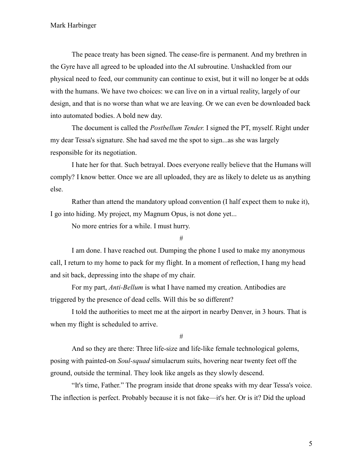The peace treaty has been signed. The cease-fire is permanent. And my brethren in the Gyre have all agreed to be uploaded into the AI subroutine. Unshackled from our physical need to feed, our community can continue to exist, but it will no longer be at odds with the humans. We have two choices: we can live on in a virtual reality, largely of our design, and that is no worse than what we are leaving. Or we can even be downloaded back into automated bodies. A bold new day.

The document is called the *Postbellum Tender.* I signed the PT, myself. Right under my dear Tessa's signature. She had saved me the spot to sign...as she was largely responsible for its negotiation.

I hate her for that. Such betrayal. Does everyone really believe that the Humans will comply? I know better. Once we are all uploaded, they are as likely to delete us as anything else.

Rather than attend the mandatory upload convention (I half expect them to nuke it), I go into hiding. My project, my Magnum Opus, is not done yet...

No more entries for a while. I must hurry.

## #

I am done. I have reached out. Dumping the phone I used to make my anonymous call, I return to my home to pack for my flight. In a moment of reflection, I hang my head and sit back, depressing into the shape of my chair.

For my part, *Anti-Bellum* is what I have named my creation. Antibodies are triggered by the presence of dead cells. Will this be so different?

I told the authorities to meet me at the airport in nearby Denver, in 3 hours. That is when my flight is scheduled to arrive.

#

And so they are there: Three life-size and life-like female technological golems, posing with painted-on *Soul-squad* simulacrum suits, hovering near twenty feet off the ground, outside the terminal. They look like angels as they slowly descend.

"It's time, Father." The program inside that drone speaks with my dear Tessa's voice. The inflection is perfect. Probably because it is not fake—it's her. Or is it? Did the upload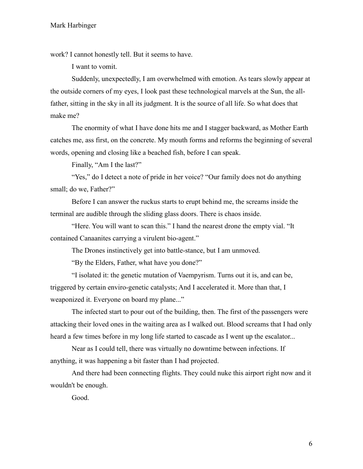work? I cannot honestly tell. But it seems to have.

I want to vomit.

Suddenly, unexpectedly, I am overwhelmed with emotion. As tears slowly appear at the outside corners of my eyes, I look past these technological marvels at the Sun, the allfather, sitting in the sky in all its judgment. It is the source of all life. So what does that make me?

The enormity of what I have done hits me and I stagger backward, as Mother Earth catches me, ass first, on the concrete. My mouth forms and reforms the beginning of several words, opening and closing like a beached fish, before I can speak.

Finally, "Am I the last?"

"Yes," do I detect a note of pride in her voice? "Our family does not do anything small; do we, Father?"

Before I can answer the ruckus starts to erupt behind me, the screams inside the terminal are audible through the sliding glass doors. There is chaos inside.

"Here. You will want to scan this." I hand the nearest drone the empty vial. "It contained Canaanites carrying a virulent bio-agent."

The Drones instinctively get into battle-stance, but I am unmoved.

"By the Elders, Father, what have you done?"

"I isolated it: the genetic mutation of Vaempyrism. Turns out it is, and can be, triggered by certain enviro-genetic catalysts; And I accelerated it. More than that, I weaponized it. Everyone on board my plane..."

The infected start to pour out of the building, then. The first of the passengers were attacking their loved ones in the waiting area as I walked out. Blood screams that I had only heard a few times before in my long life started to cascade as I went up the escalator...

Near as I could tell, there was virtually no downtime between infections. If anything, it was happening a bit faster than I had projected.

And there had been connecting flights. They could nuke this airport right now and it wouldn't be enough.

Good.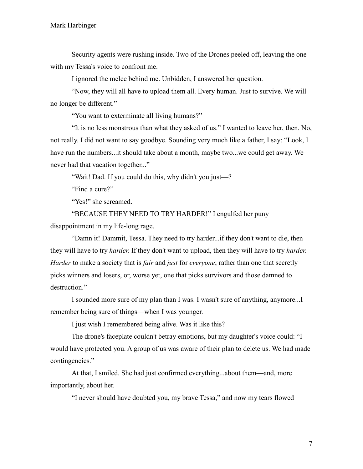Security agents were rushing inside. Two of the Drones peeled off, leaving the one with my Tessa's voice to confront me.

I ignored the melee behind me. Unbidden, I answered her question.

"Now, they will all have to upload them all. Every human. Just to survive. We will no longer be different."

"You want to exterminate all living humans?"

"It is no less monstrous than what they asked of us." I wanted to leave her, then. No, not really. I did not want to say goodbye. Sounding very much like a father, I say: "Look, I have run the numbers...it should take about a month, maybe two...we could get away. We never had that vacation together..."

"Wait! Dad. If you could do this, why didn't you just—?

"Find a cure?"

"Yes!" she screamed.

"BECAUSE THEY NEED TO TRY HARDER!" I engulfed her puny disappointment in my life-long rage.

"Damn it! Dammit, Tessa. They need to try harder...if they don't want to die, then they will have to try *harder.* If they don't want to upload, then they will have to try *harder. Harder* to make a society that is *fair* and *just* for *everyone*; rather than one that secretly picks winners and losers, or, worse yet, one that picks survivors and those damned to destruction."

I sounded more sure of my plan than I was. I wasn't sure of anything, anymore...I remember being sure of things—when I was younger.

I just wish I remembered being alive. Was it like this?

The drone's faceplate couldn't betray emotions, but my daughter's voice could: "I would have protected you. A group of us was aware of their plan to delete us. We had made contingencies."

At that, I smiled. She had just confirmed everything...about them—and, more importantly, about her.

"I never should have doubted you, my brave Tessa," and now my tears flowed